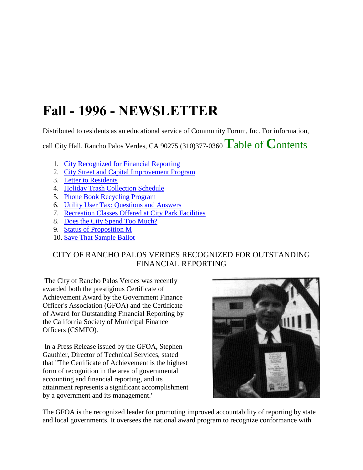# **Fall - 1996 - NEWSLETTER**

Distributed to residents as an educational service of Community Forum, Inc. For information,

call City Hall, Rancho Palos Verdes, CA 90275 (310)377-0360 **T**able of **C**ontents

- 1. City Recognized for Financial Reporting
- 2. City Street and Capital Improvement Program
- 3. Letter to Residents
- 4. Holiday Trash Collection Schedule
- 5. Phone Book Recycling Program
- 6. Utility User Tax: Questions and Answers
- 7. Recreation Classes Offered at City Park Facilities
- 8. Does the City Spend Too Much?
- 9. Status of Proposition M
- 10. Save That Sample Ballot

# CITY OF RANCHO PALOS VERDES RECOGNIZED FOR OUTSTANDING FINANCIAL REPORTING

The City of Rancho Palos Verdes was recently awarded both the prestigious Certificate of Achievement Award by the Government Finance Officer's Association (GFOA) and the Certificate of Award for Outstanding Financial Reporting by the California Society of Municipal Finance Officers (CSMFO).

In a Press Release issued by the GFOA, Stephen Gauthier, Director of Technical Services, stated that "The Certificate of Achievement is the highest form of recognition in the area of governmental accounting and financial reporting, and its attainment represents a significant accomplishment by a government and its management."



The GFOA is the recognized leader for promoting improved accountability of reporting by state and local governments. It oversees the national award program to recognize conformance with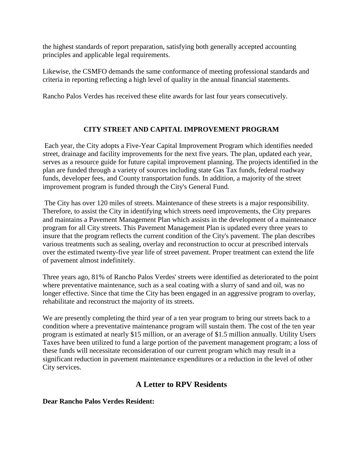the highest standards of report preparation, satisfying both generally accepted accounting principles and applicable legal requirements.

Likewise, the CSMFO demands the same conformance of meeting professional standards and criteria in reporting reflecting a high level of quality in the annual financial statements.

Rancho Palos Verdes has received these elite awards for last four years consecutively.

## **CITY STREET AND CAPITAL IMPROVEMENT PROGRAM**

Each year, the City adopts a Five-Year Capital Improvement Program which identifies needed street, drainage and facility improvements for the next five years. The plan, updated each year, serves as a resource guide for future capital improvement planning. The projects identified in the plan are funded through a variety of sources including state Gas Tax funds, federal roadway funds, developer fees, and County transportation funds. In addition, a majority of the street improvement program is funded through the City's General Fund.

The City has over 120 miles of streets. Maintenance of these streets is a major responsibility. Therefore, to assist the City in identifying which streets need improvements, the City prepares and maintains a Pavement Management Plan which assists in the development of a maintenance program for all City streets. This Pavement Management Plan is updated every three years to insure that the program reflects the current condition of the City's pavement. The plan describes various treatments such as sealing, overlay and reconstruction to occur at prescribed intervals over the estimated twenty-five year life of street pavement. Proper treatment can extend the life of pavement almost indefinitely.

Three years ago, 81% of Rancho Palos Verdes' streets were identified as deteriorated to the point where preventative maintenance, such as a seal coating with a slurry of sand and oil, was no longer effective. Since that time the City has been engaged in an aggressive program to overlay, rehabilitate and reconstruct the majority of its streets.

We are presently completing the third year of a ten year program to bring our streets back to a condition where a preventative maintenance program will sustain them. The cost of the ten year program is estimated at nearly \$15 million, or an average of \$1.5 million annually. Utility Users Taxes have been utilized to fund a large portion of the pavement management program; a loss of these funds will necessitate reconsideration of our current program which may result in a significant reduction in pavement maintenance expenditures or a reduction in the level of other City services.

# **A Letter to RPV Residents**

## **Dear Rancho Palos Verdes Resident:**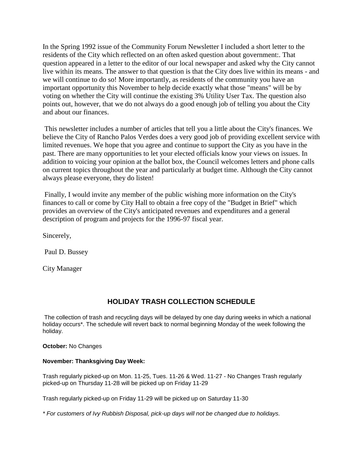In the Spring 1992 issue of the Community Forum Newsletter I included a short letter to the residents of the City which reflected on an often asked question about government:. That question appeared in a letter to the editor of our local newspaper and asked why the City cannot live within its means. The answer to that question is that the City does live within its means - and we will continue to do so! More importantly, as residents of the community you have an important opportunity this November to help decide exactly what those "means" will be by voting on whether the City will continue the existing 3% Utility User Tax. The question also points out, however, that we do not always do a good enough job of telling you about the City and about our finances.

This newsletter includes a number of articles that tell you a little about the City's finances. We believe the City of Rancho Palos Verdes does a very good job of providing excellent service with limited revenues. We hope that you agree and continue to support the City as you have in the past. There are many opportunities to let your elected officials know your views on issues. In addition to voicing your opinion at the ballot box, the Council welcomes letters and phone calls on current topics throughout the year and particularly at budget time. Although the City cannot always please everyone, they do listen!

Finally, I would invite any member of the public wishing more information on the City's finances to call or come by City Hall to obtain a free copy of the "Budget in Brief" which provides an overview of the City's anticipated revenues and expenditures and a general description of program and projects for the 1996-97 fiscal year.

Sincerely,

Paul D. Bussey

City Manager

## **HOLIDAY TRASH COLLECTION SCHEDULE**

The collection of trash and recycling days will be delayed by one day during weeks in which a national holiday occurs\*. The schedule will revert back to normal beginning Monday of the week following the holiday.

**October:** No Changes

### **November: Thanksgiving Day Week:**

Trash regularly picked-up on Mon. 11-25, Tues. 11-26 & Wed. 11-27 - No Changes Trash regularly picked-up on Thursday 11-28 will be picked up on Friday 11-29

Trash regularly picked-up on Friday 11-29 will be picked up on Saturday 11-30

*\* For customers of Ivy Rubbish Disposal, pick-up days will not be changed due to holidays.*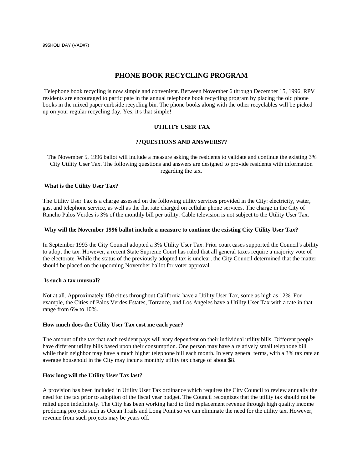## **PHONE BOOK RECYCLING PROGRAM**

Telephone book recycling is now simple and convenient. Between November 6 through December 15, 1996, RPV residents are encouraged to participate in the annual telephone book recycling program by placing the old phone books in the mixed paper curbside recycling bin. The phone books along with the other recyclables will be picked up on your regular recycling day. Yes, it's that simple!

#### **UTILITY USER TAX**

#### **??QUESTIONS AND ANSWERS??**

The November 5, 1996 ballot will include a measure asking the residents to validate and continue the existing 3% City Utility User Tax. The following questions and answers are designed to provide residents with information regarding the tax.

#### **What is the Utility User Tax?**

The Utility User Tax is a charge assessed on the following utility services provided in the City: electricity, water, gas, and telephone service, as well as the flat rate charged on cellular phone services. The charge in the City of Rancho Palos Verdes is 3% of the monthly bill per utility. Cable television is not subject to the Utility User Tax.

#### **Why will the November 1996 ballot include a measure to continue the existing City Utility User Tax?**

In September 1993 the City Council adopted a 3% Utility User Tax. Prior court cases supported the Council's ability to adopt the tax. However, a recent State Supreme Court has ruled that all general taxes require a majority vote of the electorate. While the status of the previously adopted tax is unclear, the City Council determined that the matter should be placed on the upcoming November ballot for voter approval.

#### **Is such a tax unusual?**

Not at all. Approximately 150 cities throughout California have a Utility User Tax, some as high as 12%. For example, the Cities of Palos Verdes Estates, Torrance, and Los Angeles have a Utility User Tax with a rate in that range from 6% to 10%.

#### **How much does the Utility User Tax cost me each year?**

The amount of the tax that each resident pays will vary dependent on their individual utility bills. Different people have different utility bills based upon their consumption. One person may have a relatively small telephone bill while their neighbor may have a much higher telephone bill each month. In very general terms, with a 3% tax rate an average household in the City may incur a monthly utility tax charge of about \$8.

#### **How long will the Utility User Tax last?**

A provision has been included in Utility User Tax ordinance which requires the City Council to review annually the need for the tax prior to adoption of the fiscal year budget. The Council recognizes that the utility tax should not be relied upon indefinitely. The City has been working hard to find replacement revenue through high quality income producing projects such as Ocean Trails and Long Point so we can eliminate the need for the utility tax. However, revenue from such projects may be years off.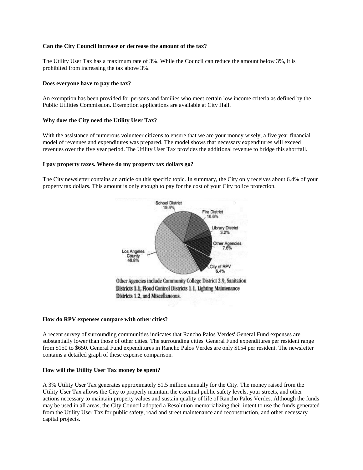#### **Can the City Council increase or decrease the amount of the tax?**

The Utility User Tax has a maximum rate of 3%. While the Council can reduce the amount below 3%, it is prohibited from increasing the tax above 3%.

#### **Does everyone have to pay the tax?**

An exemption has been provided for persons and families who meet certain low income criteria as defined by the Public Utilities Commission. Exemption applications are available at City Hall.

#### **Why does the City need the Utility User Tax?**

With the assistance of numerous volunteer citizens to ensure that we are your money wisely, a five year financial model of revenues and expenditures was prepared. The model shows that necessary expenditures will exceed revenues over the five year period. The Utility User Tax provides the additional revenue to bridge this shortfall.

#### **I pay property taxes. Where do my property tax dollars go?**

The City newsletter contains an article on this specific topic. In summary, the City only receives about 6.4% of your property tax dollars. This amount is only enough to pay for the cost of your City police protection.



#### **How do RPV expenses compare with other cities?**

A recent survey of surrounding communities indicates that Rancho Palos Verdes' General Fund expenses are substantially lower than those of other cities. The surrounding cities' General Fund expenditures per resident range from \$150 to \$650. General Fund expenditures in Rancho Palos Verdes are only \$154 per resident. The newsletter contains a detailed graph of these expense comparison.

#### **How will the Utility User Tax money be spent?**

A 3% Utility User Tax generates approximately \$1.5 million annually for the City. The money raised from the Utility User Tax allows the City to properly maintain the essential public safety levels, your streets, and other actions necessary to maintain property values and sustain quality of life of Rancho Palos Verdes. Although the funds may be used in all areas, the City Council adopted a Resolution memorializing their intent to use the funds generated from the Utility User Tax for public safety, road and street maintenance and reconstruction, and other necessary capital projects.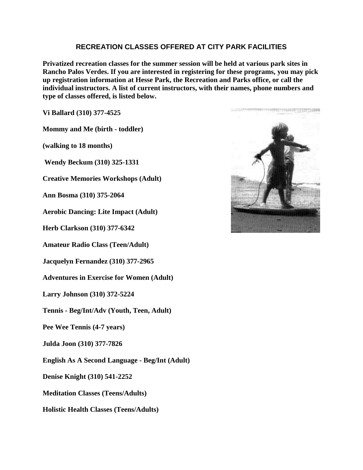## **RECREATION CLASSES OFFERED AT CITY PARK FACILITIES**

**Privatized recreation classes for the summer session will be held at various park sites in Rancho Palos Verdes. If you are interested in registering for these programs, you may pick up registration information at Hesse Park, the Recreation and Parks office, or call the individual instructors. A list of current instructors, with their names, phone numbers and type of classes offered, is listed below.**

**Vi Ballard (310) 377-4525** 

**Mommy and Me (birth - toddler)**

**(walking to 18 months)**

**Wendy Beckum (310) 325-1331**

**Creative Memories Workshops (Adult)**

**Ann Bosma (310) 375-2064**

**Aerobic Dancing: Lite Impact (Adult)**

**Herb Clarkson (310) 377-6342**

**Amateur Radio Class (Teen/Adult)**

**Jacquelyn Fernandez (310) 377-2965** 

**Adventures in Exercise for Women (Adult)**

**Larry Johnson (310) 372-5224** 

**Tennis - Beg/Int/Adv (Youth, Teen, Adult)** 

**Pee Wee Tennis (4-7 years)**

**Julda Joon (310) 377-7826** 

**English As A Second Language - Beg/Int (Adult)**

**Denise Knight (310) 541-2252**

**Meditation Classes (Teens/Adults)**

**Holistic Health Classes (Teens/Adults)**

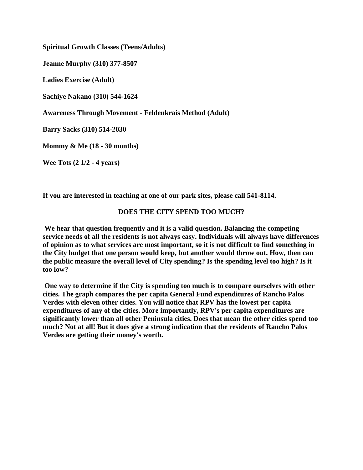**Spiritual Growth Classes (Teens/Adults) Jeanne Murphy (310) 377-8507 Ladies Exercise (Adult) Sachiye Nakano (310) 544-1624 Awareness Through Movement - Feldenkrais Method (Adult) Barry Sacks (310) 514-2030 Mommy & Me (18 - 30 months) Wee Tots (2 1/2 - 4 years)**

**If you are interested in teaching at one of our park sites, please call 541-8114.**

## **DOES THE CITY SPEND TOO MUCH?**

**We hear that question frequently and it is a valid question. Balancing the competing service needs of all the residents is not always easy. Individuals will always have differences of opinion as to what services are most important, so it is not difficult to find something in the City budget that one person would keep, but another would throw out. How, then can the public measure the overall level of City spending? Is the spending level too high? Is it too low?**

**One way to determine if the City is spending too much is to compare ourselves with other cities. The graph compares the per capita General Fund expenditures of Rancho Palos Verdes with eleven other cities. You will notice that RPV has the lowest per capita expenditures of any of the cities. More importantly, RPV's per capita expenditures are significantly lower than all other Peninsula cities. Does that mean the other cities spend too much? Not at all! But it does give a strong indication that the residents of Rancho Palos Verdes are getting their money's worth.**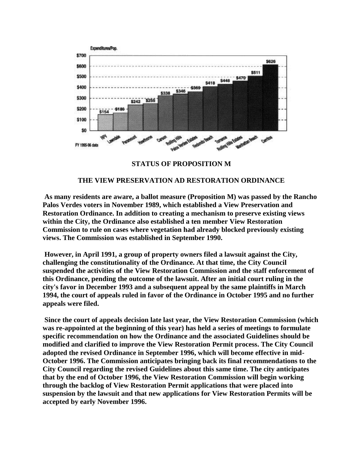

**STATUS OF PROPOSITION M**

## **THE VIEW PRESERVATION AD RESTORATION ORDINANCE**

**As many residents are aware, a ballot measure (Proposition M) was passed by the Rancho Palos Verdes voters in November 1989, which established a View Preservation and Restoration Ordinance. In addition to creating a mechanism to preserve existing views within the City, the Ordinance also established a ten member View Restoration Commission to rule on cases where vegetation had already blocked previously existing views. The Commission was established in September 1990.**

**However, in April 1991, a group of property owners filed a lawsuit against the City, challenging the constitutionality of the Ordinance. At that time, the City Council suspended the activities of the View Restoration Commission and the staff enforcement of this Ordinance, pending the outcome of the lawsuit. After an initial court ruling in the city's favor in December 1993 and a subsequent appeal by the same plaintiffs in March 1994, the court of appeals ruled in favor of the Ordinance in October 1995 and no further appeals were filed.**

**Since the court of appeals decision late last year, the View Restoration Commission (which was re-appointed at the beginning of this year) has held a series of meetings to formulate specific recommendation on how the Ordinance and the associated Guidelines should be modified and clarified to improve the View Restoration Permit process. The City Council adopted the revised Ordinance in September 1996, which will become effective in mid-October 1996. The Commission anticipates bringing back its final recommendations to the City Council regarding the revised Guidelines about this same time. The city anticipates that by the end of October 1996, the View Restoration Commission will begin working through the backlog of View Restoration Permit applications that were placed into suspension by the lawsuit and that new applications for View Restoration Permits will be accepted by early November 1996.**